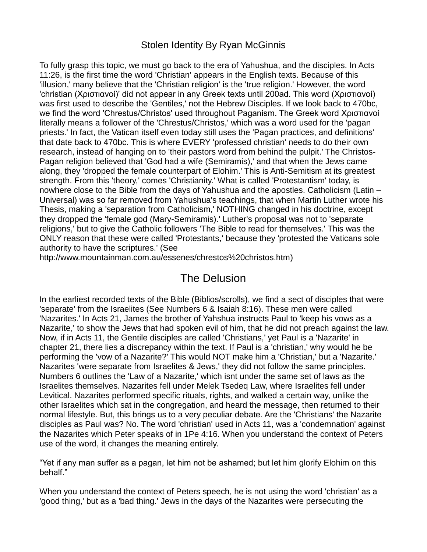### Stolen Identity By Ryan McGinnis

To fully grasp this topic, we must go back to the era of Yahushua, and the disciples. In Acts 11:26, is the first time the word 'Christian' appears in the English texts. Because of this 'illusion,' many believe that the 'Christian religion' is the 'true religion.' However, the word 'christian (Χριστιανοί)' did not appear in any Greek texts until 200ad. This word (Χριστιανοί) was first used to describe the 'Gentiles,' not the Hebrew Disciples. If we look back to 470bc, we find the word 'Chrestus/Christos' used throughout Paganism. The Greek word Χριστιανοί literally means a follower of the 'Chrestus/Christos,' which was a word used for the 'pagan priests.' In fact, the Vatican itself even today still uses the 'Pagan practices, and definitions' that date back to 470bc. This is where EVERY 'professed christian' needs to do their own research, instead of hanging on to 'their pastors word from behind the pulpit.' The Christos-Pagan religion believed that 'God had a wife (Semiramis),' and that when the Jews came along, they 'dropped the female counterpart of Elohim.' This is Anti-Semitism at its greatest strength. From this 'theory,' comes 'Christianity.' What is called 'Protestantism' today, is nowhere close to the Bible from the days of Yahushua and the apostles. Catholicism (Latin – Universal) was so far removed from Yahushua's teachings, that when Martin Luther wrote his Thesis, making a 'separation from Catholicism,' NOTHING changed in his doctrine, except they dropped the 'female god (Mary-Semiramis).' Luther's proposal was not to 'separate religions,' but to give the Catholic followers 'The Bible to read for themselves.' This was the ONLY reason that these were called 'Protestants,' because they 'protested the Vaticans sole authority to have the scriptures.' (See

[http://www.mountainman.com.au/essenes/chrestos%20christos.htm\)](http://www.mountainman.com.au/essenes/chrestos%20christos.htm)

## The Delusion

In the earliest recorded texts of the Bible (Biblios/scrolls), we find a sect of disciples that were 'separate' from the Israelites (See Numbers 6 & Isaiah 8:16). These men were called 'Nazarites.' In Acts 21, James the brother of Yahshua instructs Paul to 'keep his vows as a Nazarite,' to show the Jews that had spoken evil of him, that he did not preach against the law. Now, if in Acts 11, the Gentile disciples are called 'Christians,' yet Paul is a 'Nazarite' in chapter 21, there lies a discrepancy within the text. If Paul is a 'christian,' why would he be performing the 'vow of a Nazarite?' This would NOT make him a 'Christian,' but a 'Nazarite.' Nazarites 'were separate from Israelites & Jews,' they did not follow the same principles. Numbers 6 outlines the 'Law of a Nazarite,' which isnt under the same set of laws as the Israelites themselves. Nazarites fell under Melek Tsedeq Law, where Israelites fell under Levitical. Nazarites performed specific rituals, rights, and walked a certain way, unlike the other Israelites which sat in the congregation, and heard the message, then returned to their normal lifestyle. But, this brings us to a very peculiar debate. Are the 'Christians' the Nazarite disciples as Paul was? No. The word 'christian' used in Acts 11, was a 'condemnation' against the Nazarites which Peter speaks of in 1Pe 4:16. When you understand the context of Peters use of the word, it changes the meaning entirely.

"Yet if any man suffer as a pagan, let him not be ashamed; but let him glorify Elohim on this behalf."

When you understand the context of Peters speech, he is not using the word 'christian' as a 'good thing,' but as a 'bad thing.' Jews in the days of the Nazarites were persecuting the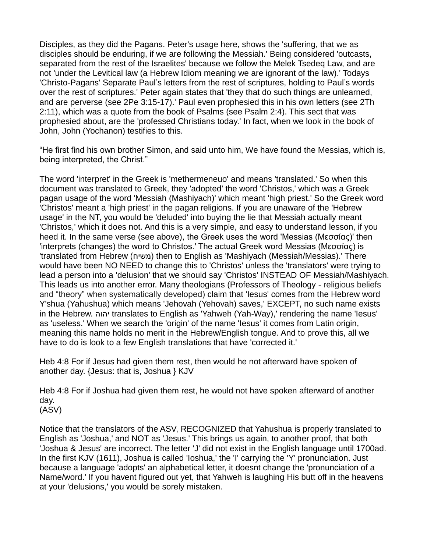Disciples, as they did the Pagans. Peter's usage here, shows the 'suffering, that we as disciples should be enduring, if we are following the Messiah.' Being considered 'outcasts, separated from the rest of the Israelites' because we follow the Melek Tsedeq Law, and are not 'under the Levitical law (a Hebrew Idiom meaning we are ignorant of the law).' Todays 'Christo-Pagans' Separate Paul's letters from the rest of scriptures, holding to Paul's words over the rest of scriptures.' Peter again states that 'they that do such things are unlearned, and are perverse (see 2Pe 3:15-17).' Paul even prophesied this in his own letters (see 2Th 2:11), which was a quote from the book of Psalms (see Psalm 2:4). This sect that was prophesied about, are the 'professed Christians today.' In fact, when we look in the book of John, John (Yochanon) testifies to this.

"He first find his own brother Simon, and said unto him, We have found the Messias, which is, being interpreted, the Christ."

The word 'interpret' in the Greek is 'methermeneuo' and means 'translated.' So when this document was translated to Greek, they 'adopted' the word 'Christos,' which was a Greek pagan usage of the word 'Messiah (Mashiyach)' which meant 'high priest.' So the Greek word 'Christos' meant a 'high priest' in the pagan religions. If you are unaware of the 'Hebrew usage' in the NT, you would be 'deluded' into buying the lie that Messiah actually meant 'Christos,' which it does not. And this is a very simple, and easy to understand lesson, if you heed it. In the same verse (see above), the Greek uses the word 'Messias (Μεσσίας)' then 'interprets (changes) the word to Christos.' The actual Greek word Messias (Μεσσίας) is 'translated from Hebrew (משיח) then to English as 'Mashiyach (Messiah/Messias).' There would have been NO NEED to change this to 'Christos' unless the 'translators' were trying to lead a person into a 'delusion' that we should say 'Christos' INSTEAD OF Messiah/Mashiyach. This leads us into another error. Many theologians (Professors of Theology - religious beliefs and "theory" when systematically developed) claim that 'Iesus' comes from the Hebrew word Y'shua (Yahushua) which means 'Jehovah (Yehovah) saves,' EXCEPT, no such name exists in the Hebrew. יהוה translates to English as 'Yahweh (Yah-Way),' rendering the name 'Iesus' as 'useless.' When we search the 'origin' of the name 'Iesus' it comes from Latin origin, meaning this name holds no merit in the Hebrew/English tongue. And to prove this, all we have to do is look to a few English translations that have 'corrected it.'

Heb 4:8 For if Jesus had given them rest, then would he not afterward have spoken of another day. {Jesus: that is, Joshua } KJV

Heb 4:8 For if Joshua had given them rest, he would not have spoken afterward of another day. (ASV)

Notice that the translators of the ASV, RECOGNIZED that Yahushua is properly translated to English as 'Joshua,' and NOT as 'Jesus.' This brings us again, to another proof, that both 'Joshua & Jesus' are incorrect. The letter 'J' did not exist in the English language until 1700ad. In the first KJV (1611), Joshua is called 'Ioshua,' the 'I' carrying the 'Y' pronunciation. Just because a language 'adopts' an alphabetical letter, it doesnt change the 'pronunciation of a Name/word.' If you havent figured out yet, that Yahweh is laughing His butt off in the heavens at your 'delusions,' you would be sorely mistaken.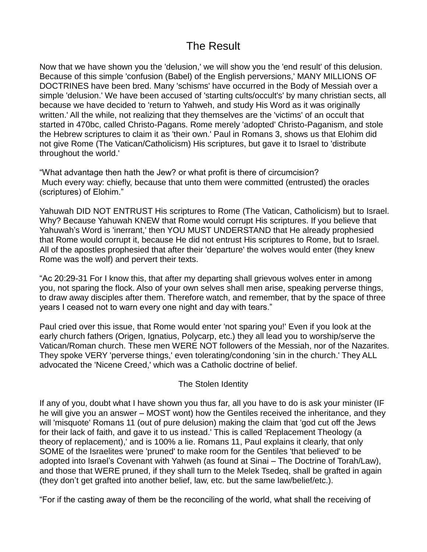# The Result

Now that we have shown you the 'delusion,' we will show you the 'end result' of this delusion. Because of this simple 'confusion (Babel) of the English perversions,' MANY MILLIONS OF DOCTRINES have been bred. Many 'schisms' have occurred in the Body of Messiah over a simple 'delusion.' We have been accused of 'starting cults/occult's' by many christian sects, all because we have decided to 'return to Yahweh, and study His Word as it was originally written.' All the while, not realizing that they themselves are the 'victims' of an occult that started in 470bc, called Christo-Pagans. Rome merely 'adopted' Christo-Paganism, and stole the Hebrew scriptures to claim it as 'their own.' Paul in Romans 3, shows us that Elohim did not give Rome (The Vatican/Catholicism) His scriptures, but gave it to Israel to 'distribute throughout the world.'

"What advantage then hath the Jew? or what profit is there of circumcision? Much every way: chiefly, because that unto them were committed (entrusted) the oracles (scriptures) of Elohim."

Yahuwah DID NOT ENTRUST His scriptures to Rome (The Vatican, Catholicism) but to Israel. Why? Because Yahuwah KNEW that Rome would corrupt His scriptures. If you believe that Yahuwah's Word is 'inerrant,' then YOU MUST UNDERSTAND that He already prophesied that Rome would corrupt it, because He did not entrust His scriptures to Rome, but to Israel. All of the apostles prophesied that after their 'departure' the wolves would enter (they knew Rome was the wolf) and pervert their texts.

"Ac 20:29-31 For I know this, that after my departing shall grievous wolves enter in among you, not sparing the flock. Also of your own selves shall men arise, speaking perverse things, to draw away disciples after them. Therefore watch, and remember, that by the space of three years I ceased not to warn every one night and day with tears."

Paul cried over this issue, that Rome would enter 'not sparing you!' Even if you look at the early church fathers (Origen, Ignatius, Polycarp, etc.) they all lead you to worship/serve the Vatican/Roman church. These men WERE NOT followers of the Messiah, nor of the Nazarites. They spoke VERY 'perverse things,' even tolerating/condoning 'sin in the church.' They ALL advocated the 'Nicene Creed,' which was a Catholic doctrine of belief.

#### The Stolen Identity

If any of you, doubt what I have shown you thus far, all you have to do is ask your minister (IF he will give you an answer – MOST wont) how the Gentiles received the inheritance, and they will 'misquote' Romans 11 (out of pure delusion) making the claim that 'god cut off the Jews for their lack of faith, and gave it to us instead.' This is called 'Replacement Theology (a theory of replacement),' and is 100% a lie. Romans 11, Paul explains it clearly, that only SOME of the Israelites were 'pruned' to make room for the Gentiles 'that believed' to be adopted into Israel's Covenant with Yahweh (as found at Sinai – The Doctrine of Torah/Law), and those that WERE pruned, if they shall turn to the Melek Tsedeq, shall be grafted in again (they don't get grafted into another belief, law, etc. but the same law/belief/etc.).

"For if the casting away of them be the reconciling of the world, what shall the receiving of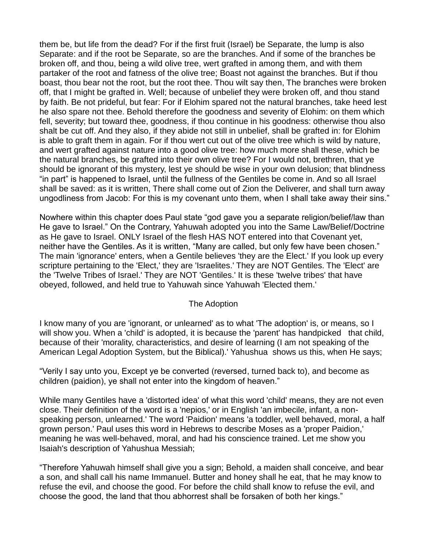them be, but life from the dead? For if the first fruit (Israel) be Separate, the lump is also Separate: and if the root be Separate, so are the branches. And if some of the branches be broken off, and thou, being a wild olive tree, wert grafted in among them, and with them partaker of the root and fatness of the olive tree; Boast not against the branches. But if thou boast, thou bear not the root, but the root thee. Thou wilt say then, The branches were broken off, that I might be grafted in. Well; because of unbelief they were broken off, and thou stand by faith. Be not prideful, but fear: For if Elohim spared not the natural branches, take heed lest he also spare not thee. Behold therefore the goodness and severity of Elohim: on them which fell, severity; but toward thee, goodness, if thou continue in his goodness: otherwise thou also shalt be cut off. And they also, if they abide not still in unbelief, shall be grafted in: for Elohim is able to graft them in again. For if thou wert cut out of the olive tree which is wild by nature, and wert grafted against nature into a good olive tree: how much more shall these, which be the natural branches, be grafted into their own olive tree? For I would not, brethren, that ye should be ignorant of this mystery, lest ye should be wise in your own delusion; that blindness "in part" is happened to Israel, until the fullness of the Gentiles be come in. And so all Israel shall be saved: as it is written, There shall come out of Zion the Deliverer, and shall turn away ungodliness from Jacob: For this is my covenant unto them, when I shall take away their sins."

Nowhere within this chapter does Paul state "god gave you a separate religion/belief/law than He gave to Israel." On the Contrary, Yahuwah adopted you into the Same Law/Belief/Doctrine as He gave to Israel. ONLY Israel of the flesh HAS NOT entered into that Covenant yet, neither have the Gentiles. As it is written, "Many are called, but only few have been chosen." The main 'ignorance' enters, when a Gentile believes 'they are the Elect.' If you look up every scripture pertaining to the 'Elect,' they are 'Israelites.' They are NOT Gentiles. The 'Elect' are the 'Twelve Tribes of Israel.' They are NOT 'Gentiles.' It is these 'twelve tribes' that have obeyed, followed, and held true to Yahuwah since Yahuwah 'Elected them.'

#### The Adoption

I know many of you are 'ignorant, or unlearned' as to what 'The adoption' is, or means, so I will show you. When a 'child' is adopted, it is because the 'parent' has handpicked that child, because of their 'morality, characteristics, and desire of learning (I am not speaking of the American Legal Adoption System, but the Biblical).' Yahushua shows us this, when He says;

"Verily I say unto you, Except ye be converted (reversed, turned back to), and become as children (paidion), ye shall not enter into the kingdom of heaven."

While many Gentiles have a 'distorted idea' of what this word 'child' means, they are not even close. Their definition of the word is a 'nepios,' or in English 'an imbecile, infant, a nonspeaking person, unlearned.' The word 'Paidion' means 'a toddler, well behaved, moral, a half grown person.' Paul uses this word in Hebrews to describe Moses as a 'proper Paidion,' meaning he was well-behaved, moral, and had his conscience trained. Let me show you Isaiah's description of Yahushua Messiah;

"Therefore Yahuwah himself shall give you a sign; Behold, a maiden shall conceive, and bear a son, and shall call his name Immanuel. Butter and honey shall he eat, that he may know to refuse the evil, and choose the good. For before the child shall know to refuse the evil, and choose the good, the land that thou abhorrest shall be forsaken of both her kings."